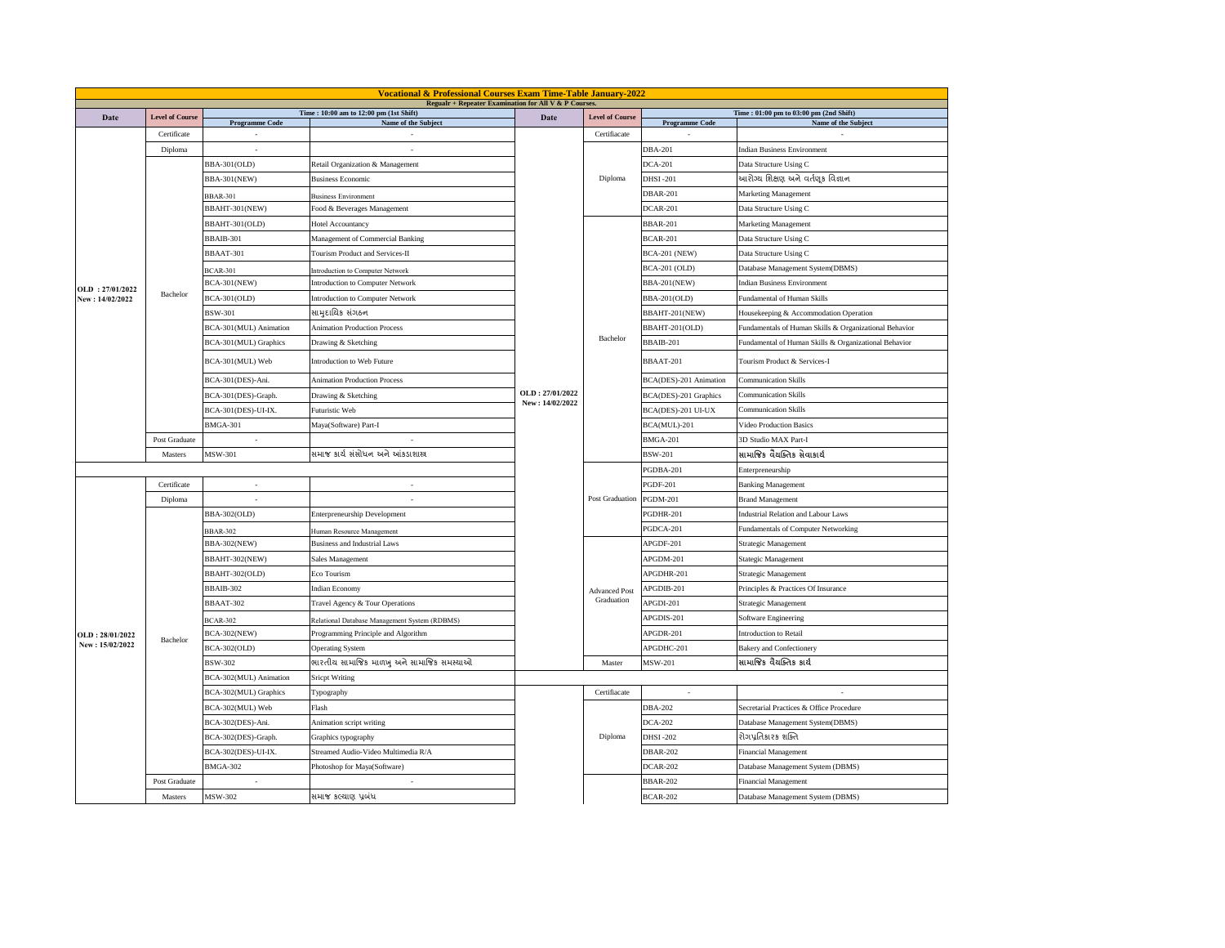|                 | <b>Vocational &amp; Professional Courses Exam Time-Table January-2022</b><br>Regualr + Repeater Examination for All V & P Courses. |                        |                                               |                 |                        |                        |                                                        |  |
|-----------------|------------------------------------------------------------------------------------------------------------------------------------|------------------------|-----------------------------------------------|-----------------|------------------------|------------------------|--------------------------------------------------------|--|
| Date            | <b>Level of Course</b>                                                                                                             |                        | Time: 10:00 am to 12:00 pm (1st Shift)        | Date            | <b>Level of Course</b> |                        | Time: 01:00 pm to 03:00 pm (2nd Shift)                 |  |
|                 |                                                                                                                                    | <b>Programme Code</b>  | Name of the Subject                           |                 |                        | <b>Programme Code</b>  | Name of the Subject                                    |  |
|                 | Certificate                                                                                                                        |                        |                                               |                 | Certifiacate           |                        |                                                        |  |
|                 | Diploma                                                                                                                            |                        |                                               |                 | Diploma                | <b>DBA-201</b>         | <b>Indian Business Environment</b>                     |  |
|                 |                                                                                                                                    | <b>BBA-301(OLD)</b>    | Retail Organization & Management              |                 |                        | <b>DCA-201</b>         | Data Structure Using C                                 |  |
|                 |                                                                                                                                    | <b>BBA-301(NEW)</b>    | <b>Business Economic</b>                      |                 |                        | <b>DHSI-201</b>        | આરોગ્ય શિક્ષણ અને વર્તણૂક વિજ્ઞાન                      |  |
|                 |                                                                                                                                    | <b>BBAR-301</b>        | <b>Business Environment</b>                   |                 |                        | <b>DBAR-201</b>        | Marketing Management                                   |  |
|                 |                                                                                                                                    | BBAHT-301(NEW)         | Food & Beverages Management                   |                 |                        | <b>DCAR-201</b>        | Data Structure Using C                                 |  |
|                 |                                                                                                                                    | BBAHT-301(OLD)         | Hotel Accountancy                             |                 |                        | <b>BBAR-201</b>        | Marketing Management                                   |  |
|                 |                                                                                                                                    | BBAIB-301              | Management of Commercial Banking              |                 |                        | <b>BCAR-201</b>        | Data Structure Using C                                 |  |
|                 |                                                                                                                                    | BBAAT-301              | <b>Tourism Product and Services-II</b>        |                 |                        | <b>BCA-201 (NEW)</b>   | Data Structure Using C                                 |  |
|                 |                                                                                                                                    | <b>BCAR-301</b>        | Introduction to Computer Network              |                 |                        | <b>BCA-201 (OLD)</b>   | Database Management System(DBMS)                       |  |
| OLD: 27/01/2022 |                                                                                                                                    | <b>BCA-301(NEW)</b>    | Introduction to Computer Network              |                 |                        | <b>BBA-201(NEW)</b>    | <b>Indian Business Environment</b>                     |  |
| New: 14/02/2022 | Bachelor                                                                                                                           | <b>BCA-301(OLD)</b>    | Introduction to Computer Network              |                 |                        | BBA-201(OLD)           | Fundamental of Human Skills                            |  |
|                 |                                                                                                                                    | <b>BSW-301</b>         | સામુદાયિક સંગઠન                               |                 |                        | BBAHT-201(NEW)         | Housekeeping & Accommodation Operation                 |  |
|                 |                                                                                                                                    | BCA-301(MUL) Animation | <b>Animation Production Process</b>           |                 | Bachelor               | BBAHT-201(OLD)         | Fundamentals of Human Skills & Organizational Behavior |  |
|                 |                                                                                                                                    | BCA-301(MUL) Graphics  | Drawing & Sketching                           |                 |                        | BBAIB-201              | Fundamental of Human Skills & Organizational Behavior  |  |
|                 |                                                                                                                                    | BCA-301(MUL) Web       | Introduction to Web Future                    |                 |                        | BBAAT-201              | Tourism Product & Services-I                           |  |
|                 |                                                                                                                                    | BCA-301(DES)-Ani.      | <b>Animation Production Process</b>           |                 |                        | BCA(DES)-201 Animation | <b>Communication Skills</b>                            |  |
|                 |                                                                                                                                    | BCA-301(DES)-Graph.    | Drawing & Sketching                           | OLD: 27/01/2022 |                        | BCA(DES)-201 Graphics  | <b>Communication Skills</b>                            |  |
|                 |                                                                                                                                    | BCA-301(DES)-UI-IX.    | Futuristic Web                                | New: 14/02/2022 |                        | BCA(DES)-201 UI-UX     | <b>Communication Skills</b>                            |  |
|                 |                                                                                                                                    | BMGA-301               | Maya(Software) Part-I                         |                 |                        | BCA(MUL)-201           | <b>Video Production Basics</b>                         |  |
|                 | Post Graduate                                                                                                                      |                        | $\sim$                                        |                 |                        | <b>BMGA-201</b>        | 3D Studio MAX Part-I                                   |  |
|                 | Masters                                                                                                                            | MSW-301                | સમાજ કાર્ય સંસોધન અને આંકડાશાસ્ત્ર            |                 |                        | <b>BSW-201</b>         | સામાજિક વૈયક્તિક સેવાકાર્ય                             |  |
|                 |                                                                                                                                    |                        |                                               |                 |                        | PGDBA-201              | Enterpreneurship                                       |  |
|                 | Certificate                                                                                                                        | ×                      | ÷                                             |                 | Post Graduation        | <b>PGDF-201</b>        | <b>Banking Management</b>                              |  |
|                 | Diploma                                                                                                                            |                        |                                               |                 |                        | <b>PGDM-201</b>        | <b>Brand Management</b>                                |  |
|                 |                                                                                                                                    | BBA-302(OLD)           | <b>Enterpreneurship Development</b>           |                 |                        | PGDHR-201              | <b>Industrial Relation and Labour Laws</b>             |  |
|                 |                                                                                                                                    | <b>BBAR-302</b>        | Human Resource Management                     |                 |                        | PGDCA-201              | Fundamentals of Computer Networking                    |  |
|                 |                                                                                                                                    | BBA-302(NEW)           | <b>Business and Industrial Laws</b>           |                 |                        | APGDF-201              | <b>Strategic Management</b>                            |  |
|                 |                                                                                                                                    | BBAHT-302(NEW)         | Sales Management                              |                 |                        | APGDM-201              | Stategic Management                                    |  |
|                 |                                                                                                                                    | BBAHT-302(OLD)         | Eco Tourism                                   |                 |                        | APGDHR-201             | Strategic Management                                   |  |
|                 |                                                                                                                                    | BBAIB-302              | <b>Indian Economy</b>                         |                 | <b>Advanced Post</b>   | APGDIB-201             | Principles & Practices Of Insurance                    |  |
|                 |                                                                                                                                    | BBAAT-302              | Travel Agency & Tour Operations               |                 | Graduation             | APGDI-201              | <b>Strategic Management</b>                            |  |
|                 |                                                                                                                                    | <b>BCAR-302</b>        | Relational Database Management System (RDBMS) |                 |                        | APGDIS-201             | Software Engineering                                   |  |
| OLD: 28/01/2022 |                                                                                                                                    | <b>BCA-302(NEW)</b>    | Programming Principle and Algorithm           |                 |                        | APGDR-201              | Introduction to Retail                                 |  |
| New: 15/02/2022 | Bachelor                                                                                                                           | <b>BCA-302(OLD)</b>    | Operating System                              |                 |                        | APGDHC-201             | <b>Bakery and Confectionery</b>                        |  |
|                 |                                                                                                                                    | BSW-302                | ભારતીય સામાજિક માળખુ અને સામાજિક સમસ્યાઓ      |                 | Master                 | <b>MSW-201</b>         | સામાજિક વૈયક્તિક કાર્ય                                 |  |
|                 |                                                                                                                                    | BCA-302(MUL) Animation | <b>Sricpt Writing</b>                         |                 |                        |                        |                                                        |  |
|                 |                                                                                                                                    | BCA-302(MUL) Graphics  | Typography                                    |                 | Certifiacate           | $\sim$                 |                                                        |  |
|                 |                                                                                                                                    | BCA-302(MUL) Web       | Flash                                         |                 |                        | <b>DBA-202</b>         | Secretarial Practices & Office Procedure               |  |
|                 |                                                                                                                                    | BCA-302(DES)-Ani.      | Animation script writing                      |                 |                        | <b>DCA-202</b>         | Database Management System(DBMS)                       |  |
|                 |                                                                                                                                    | BCA-302(DES)-Graph.    | Graphics typography                           |                 | Diploma                | <b>DHSI-202</b>        | રોગપ્રતિકારક શક્તિ                                     |  |
|                 |                                                                                                                                    | BCA-302(DES)-UI-IX.    | Streamed Audio-Video Multimedia R/A           |                 |                        | <b>DBAR-202</b>        | <b>Financial Management</b>                            |  |
|                 |                                                                                                                                    | <b>BMGA-302</b>        | Photoshop for Maya(Software)                  |                 |                        | <b>DCAR-202</b>        | Database Management System (DBMS)                      |  |
|                 | Post Graduate                                                                                                                      | ٠                      | $\sim$                                        |                 |                        | <b>BBAR-202</b>        | <b>Financial Management</b>                            |  |
|                 | Masters                                                                                                                            | MSW-302                |                                               |                 |                        | <b>BCAR-202</b>        |                                                        |  |
|                 |                                                                                                                                    |                        | સમાજ કલ્યાણ પ્રબંધ                            |                 |                        |                        | Database Management System (DBMS)                      |  |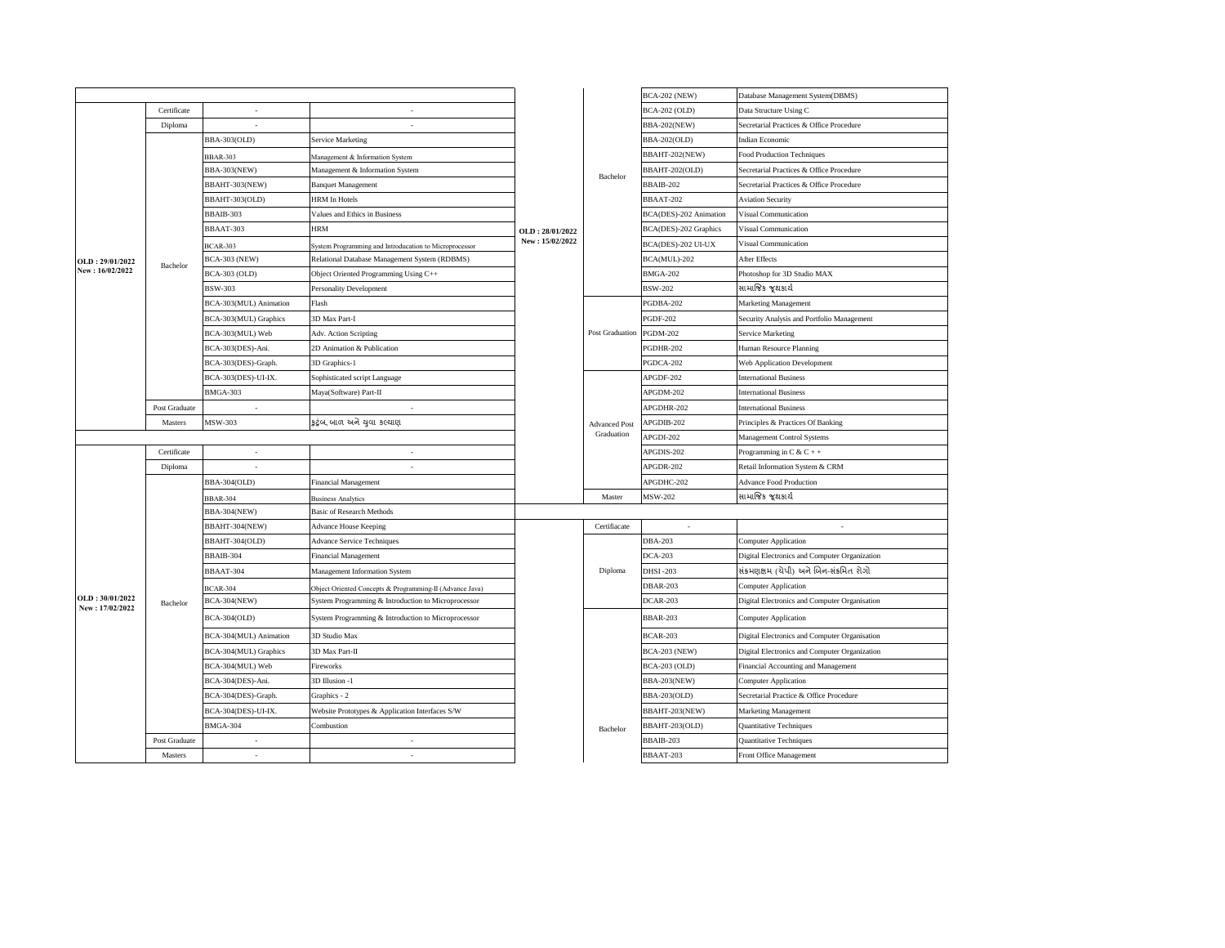|                                    |               |                          |                                                          |                 |                        | <b>BCA-202 (NEW)</b>   | Database Management System(DBMS)              |
|------------------------------------|---------------|--------------------------|----------------------------------------------------------|-----------------|------------------------|------------------------|-----------------------------------------------|
|                                    | Certificate   | ×.                       | ٠                                                        |                 |                        | <b>BCA-202 (OLD)</b>   | Data Structure Using C                        |
|                                    | Diploma       |                          | ×,                                                       |                 |                        | <b>BBA-202(NEW)</b>    | Secretarial Practices & Office Procedure      |
|                                    |               | BBA-303(OLD)             | <b>Service Marketing</b>                                 |                 |                        | BBA-202(OLD)           | <b>Indian Economic</b>                        |
|                                    |               | <b>BBAR-303</b>          | Management & Information System                          |                 |                        | BBAHT-202(NEW)         | <b>Food Production Techniques</b>             |
|                                    |               | <b>BBA-303(NEW)</b>      | Management & Information System                          |                 | Bachelor               | BBAHT-202(OLD)         | Secretarial Practices & Office Procedure      |
|                                    |               | BBAHT-303(NEW)           | <b>Banquet Management</b>                                |                 |                        | BBAIB-202              | Secretarial Practices & Office Procedure      |
|                                    |               | BBAHT-303(OLD)           | <b>HRM</b> In Hotels                                     |                 |                        | BBAAT-202              | <b>Aviation Security</b>                      |
|                                    |               | BBAIB-303                | Values and Ethics in Business                            |                 |                        | BCA(DES)-202 Animation | Visual Communication                          |
|                                    |               | BBAAT-303                | <b>HRM</b>                                               | OLD: 28/01/2022 |                        | BCA(DES)-202 Graphics  | Visual Communication                          |
|                                    |               | <b>BCAR-303</b>          | System Programming and Introducation to Microprocessor   | New: 15/02/2022 |                        | BCA(DES)-202 UI-UX     | Visual Communication                          |
| OLD: 29/01/2022                    | Bachelor      | <b>BCA-303 (NEW)</b>     | Relational Database Management System (RDBMS)            |                 |                        | BCA(MUL)-202           | After Effects                                 |
| New: 16/02/2022                    |               | BCA-303 (OLD)            | Object Oriented Programming Using C++                    |                 |                        | <b>BMGA-202</b>        | Photoshop for 3D Studio MAX                   |
|                                    |               | <b>BSW-303</b>           | <b>Personality Development</b>                           |                 |                        | <b>BSW-202</b>         | સામાજિક જૂથકાર્ય                              |
|                                    |               | BCA-303(MUL) Animation   | Flash                                                    |                 |                        | PGDBA-202              | Marketing Management                          |
|                                    |               | BCA-303(MUL) Graphics    | 3D Max Part-I                                            |                 |                        | <b>PGDF-202</b>        | Security Analysis and Portfolio Management    |
|                                    |               | BCA-303(MUL) Web         | Adv. Action Scripting                                    |                 | <b>Post Graduation</b> | <b>PGDM-202</b>        | Service Marketing                             |
|                                    |               | BCA-303(DES)-Ani.        | 2D Animation & Publication                               |                 |                        | PGDHR-202              | Human Resource Planning                       |
|                                    |               | BCA-303(DES)-Graph.      | 3D Graphics-1                                            |                 |                        | PGDCA-202              | <b>Web Application Development</b>            |
|                                    |               | BCA-303(DES)-UI-IX.      | Sophisticated script Language                            |                 |                        | APGDF-202              | <b>International Business</b>                 |
|                                    |               | <b>BMGA-303</b>          | Maya(Software) Part-II                                   |                 |                        | APGDM-202              | <b>International Business</b>                 |
|                                    | Post Graduate | $\overline{\phantom{a}}$ | $\overline{\phantom{a}}$                                 |                 |                        | APGDHR-202             | <b>International Business</b>                 |
|                                    | Masters       | <b>MSW-303</b>           | કુટુંબ, બાળ અને ચુવા કલ્યાણ                              |                 | <b>Advanced Post</b>   | APGDIB-202             | Principles & Practices Of Banking             |
|                                    |               |                          |                                                          |                 | Graduation             | APGDI-202              | Management Control Systems                    |
|                                    | Certificate   | $\cdot$                  | ٠                                                        |                 |                        | APGDIS-202             | Programming in $C & C + +$                    |
|                                    | Diploma       |                          |                                                          |                 |                        | APGDR-202              | Retail Information System & CRM               |
|                                    |               | <b>BBA-304(OLD)</b>      | Financial Management                                     |                 |                        | APGDHC-202             | <b>Advance Food Production</b>                |
|                                    |               | <b>BBAR-304</b>          | <b>Business Analytics</b>                                |                 | Master                 | <b>MSW-202</b>         | સામાજિક જ્રથકાર્ય                             |
|                                    |               | <b>BBA-304(NEW)</b>      | <b>Basic of Research Methods</b>                         |                 |                        |                        |                                               |
|                                    |               | BBAHT-304(NEW)           | Advance House Keeping                                    |                 | Certifiacate           | $\sim$                 | $\sim$                                        |
|                                    |               | BBAHT-304(OLD)           | <b>Advance Service Techniques</b>                        |                 |                        | <b>DBA-203</b>         | <b>Computer Application</b>                   |
|                                    |               | BBAIB-304                | Financial Management                                     |                 |                        | <b>DCA-203</b>         | Digital Electronics and Computer Organization |
|                                    |               | BBAAT-304                | Management Information System                            |                 | Diploma                | <b>DHSI-203</b>        | સંક્રમણક્ષમ (ચેપી) અને બિન-સંક્રમિત રોગો      |
|                                    |               | <b>BCAR-304</b>          | Object Oriented Concepts & Programming-II (Advance Java) |                 |                        | <b>DBAR-203</b>        | <b>Computer Application</b>                   |
| OLD: 30/01/2022<br>New: 17/02/2022 | Bachelor      | <b>BCA-304(NEW)</b>      | System Programming & Introduction to Microprocessor      |                 |                        | DCAR-203               | Digital Electronics and Computer Organisation |
|                                    |               | <b>BCA-304(OLD)</b>      | System Programming & Introduction to Microprocessor      |                 |                        | <b>BBAR-203</b>        | <b>Computer Application</b>                   |
|                                    |               | BCA-304(MUL) Animation   | 3D Studio Max                                            |                 |                        | <b>BCAR-203</b>        | Digital Electronics and Computer Organisation |
|                                    |               | BCA-304(MUL) Graphics    | 3D Max Part-II                                           |                 |                        | <b>BCA-203 (NEW)</b>   | Digital Electronics and Computer Organization |
|                                    |               | BCA-304(MUL) Web         | Fireworks                                                |                 |                        | <b>BCA-203 (OLD)</b>   | Financial Accounting and Management           |
|                                    |               | BCA-304(DES)-Ani.        | 3D Illusion -1                                           |                 |                        | <b>BBA-203(NEW)</b>    | <b>Computer Application</b>                   |
|                                    |               | BCA-304(DES)-Graph.      | Graphics - 2                                             |                 |                        | <b>BBA-203(OLD)</b>    | Secretarial Practice & Office Procedure       |
|                                    |               | BCA-304(DES)-UI-IX.      | Website Prototypes & Application Interfaces S/W          |                 |                        | BBAHT-203(NEW)         | Marketing Management                          |
|                                    |               | <b>BMGA-304</b>          | Combustion                                               |                 | Bachelor               | BBAHT-203(OLD)         | Quantitative Techniques                       |
|                                    | Post Graduate | ٠                        | ٠                                                        |                 |                        | BBAIB-203              | Quantitative Techniques                       |
|                                    | Masters       | ä,                       | ×.                                                       |                 |                        | BBAAT-203              | Front Office Management                       |
|                                    |               |                          |                                                          |                 |                        |                        |                                               |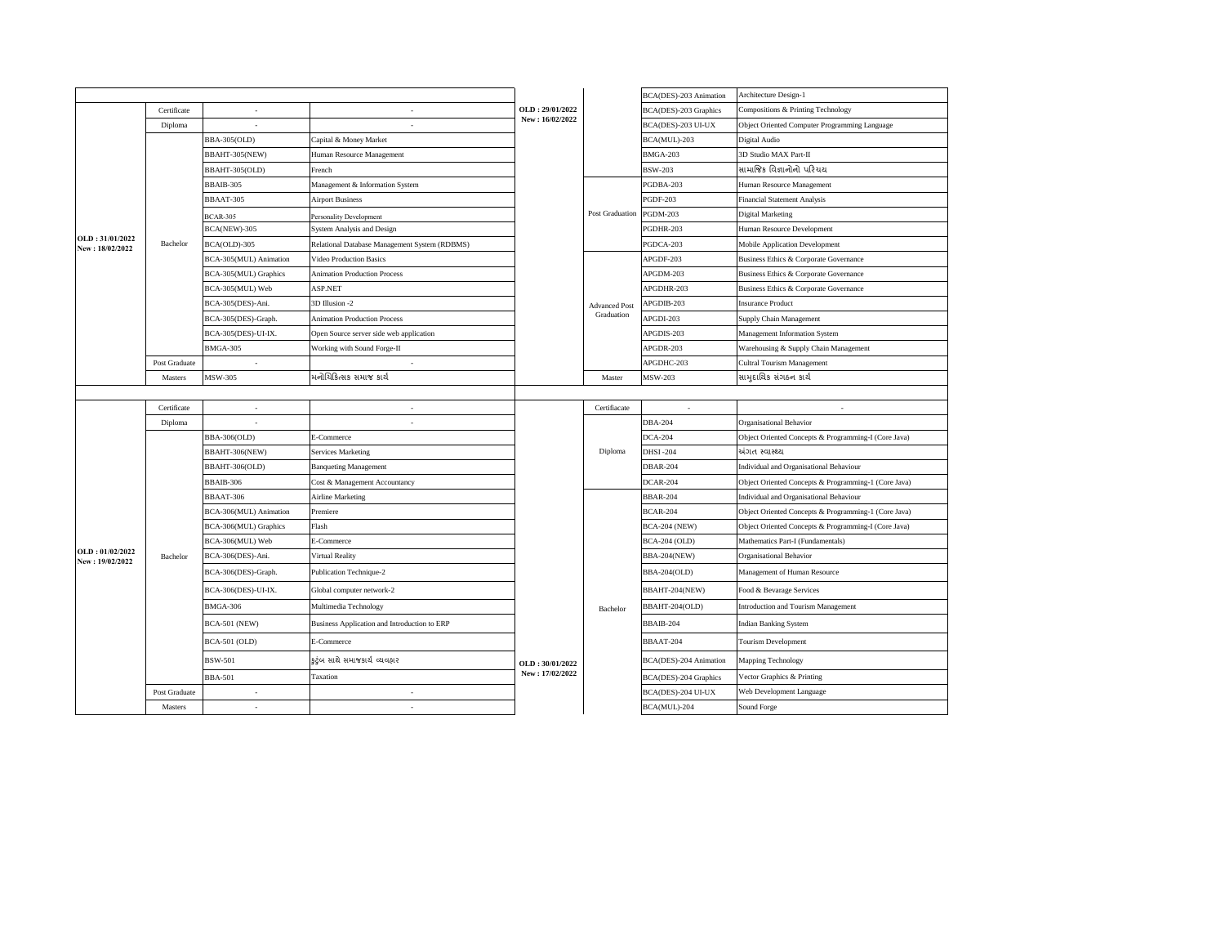|                                    |               |                        |                                               |                                    |                      | BCA(DES)-203 Animation | Architecture Design-1                                |
|------------------------------------|---------------|------------------------|-----------------------------------------------|------------------------------------|----------------------|------------------------|------------------------------------------------------|
|                                    | Certificate   |                        |                                               | OLD: 29/01/2022                    |                      | BCA(DES)-203 Graphics  | Compositions & Printing Technology                   |
|                                    | Diploma       |                        |                                               | New: 16/02/2022                    |                      | BCA(DES)-203 UI-UX     | Object Oriented Computer Programming Language        |
|                                    |               | BBA-305(OLD)           | Capital & Money Market                        |                                    |                      | BCA(MUL)-203           | Digital Audio                                        |
|                                    |               | BBAHT-305(NEW)         | Human Resource Management                     |                                    |                      | <b>BMGA-203</b>        | 3D Studio MAX Part-II                                |
|                                    |               | BBAHT-305(OLD)         | French                                        |                                    |                      | <b>BSW-203</b>         | સામાજિક વિજ્ઞાનોનો પરિચય                             |
|                                    |               | <b>BBAIB-305</b>       | Management & Information System               |                                    |                      | PGDBA-203              | Human Resource Management                            |
|                                    |               | BBAAT-305              | <b>Airport Business</b>                       |                                    |                      | <b>PGDF-203</b>        | <b>Financial Statement Analysis</b>                  |
|                                    |               | <b>BCAR-305</b>        | Personality Development                       |                                    | Post Graduation      | <b>PGDM-203</b>        | Digital Marketing                                    |
|                                    |               | BCA(NEW)-305           | System Analysis and Design                    |                                    |                      | PGDHR-203              | Human Resource Development                           |
| OLD: 31/01/2022<br>New: 18/02/2022 | Bachelor      | BCA(OLD)-305           | Relational Database Management System (RDBMS) |                                    |                      | PGDCA-203              | Mobile Application Development                       |
|                                    |               | BCA-305(MUL) Animation | Video Production Basics                       |                                    |                      | APGDF-203              | Business Ethics & Corporate Governance               |
|                                    |               | BCA-305(MUL) Graphics  | <b>Animation Production Process</b>           |                                    |                      | APGDM-203              | Business Ethics & Corporate Governance               |
|                                    |               | BCA-305(MUL) Web       | ASP.NET                                       |                                    |                      | APGDHR-203             | Business Ethics & Corporate Governance               |
|                                    |               | BCA-305(DES)-Ani.      | 3D Illusion -2                                |                                    | <b>Advanced Post</b> | APGDIB-203             | <b>Insurance Product</b>                             |
|                                    |               | BCA-305(DES)-Graph.    | <b>Animation Production Process</b>           |                                    | Graduation           | APGDI-203              | Supply Chain Management                              |
|                                    |               | BCA-305(DES)-UI-IX.    | Open Source server side web application       |                                    |                      | APGDIS-203             | Management Information System                        |
|                                    |               | <b>BMGA-305</b>        | Working with Sound Forge-II                   |                                    |                      | APGDR-203              | Warehousing & Supply Chain Management                |
|                                    | Post Graduate |                        |                                               |                                    |                      | APGDHC-203             | <b>Cultral Tourism Management</b>                    |
|                                    | Masters       | MSW-305                | મનોચિકિત્સક સમાજ કાર્ય                        |                                    | Master               | <b>MSW-203</b>         | સામદાયિક સંગઠન કાર્ય                                 |
|                                    |               |                        |                                               |                                    |                      |                        |                                                      |
|                                    | Certificate   |                        |                                               |                                    | Certifiacate         | ÷                      |                                                      |
|                                    | Diploma       |                        | $\sim$                                        |                                    |                      | <b>DBA-204</b>         | Organisational Behavior                              |
|                                    |               | BBA-306(OLD)           | E-Commerce                                    |                                    |                      | <b>DCA-204</b>         | Object Oriented Concepts & Programming-I (Core Java) |
|                                    |               | BBAHT-306(NEW)         | <b>Services Marketing</b>                     |                                    | Diploma              | <b>DHSI-204</b>        | અંગત સ્વાસ્થ્ય                                       |
|                                    |               | BBAHT-306(OLD)         | <b>Banqueting Management</b>                  |                                    |                      | <b>DBAR-204</b>        | Individual and Organisational Behaviour              |
|                                    |               | BBAIB-306              | Cost & Management Accountancy                 |                                    |                      | DCAR-204               | Object Oriented Concepts & Programming-1 (Core Java) |
|                                    |               | BBAAT-306              | <b>Airline Marketing</b>                      |                                    |                      | <b>BBAR-204</b>        | Individual and Organisational Behaviour              |
|                                    |               | BCA-306(MUL) Animation | Premiere                                      |                                    |                      | <b>BCAR-204</b>        | Object Oriented Concepts & Programming-1 (Core Java) |
|                                    |               | BCA-306(MUL) Graphics  | Flash                                         |                                    |                      | <b>BCA-204 (NEW)</b>   | Object Oriented Concepts & Programming-I (Core Java) |
|                                    |               | BCA-306(MUL) Web       | E-Commerce                                    |                                    |                      | <b>BCA-204 (OLD)</b>   | Mathematics Part-I (Fundamentals)                    |
| OLD: 01/02/2022<br>New: 19/02/2022 | Bachelor      | BCA-306(DES)-Ani.      | Virtual Reality                               |                                    |                      | <b>BBA-204(NEW)</b>    | Organisational Behavior                              |
|                                    |               | BCA-306(DES)-Graph.    | Publication Technique-2                       |                                    |                      | <b>BBA-204(OLD)</b>    | Management of Human Resource                         |
|                                    |               | BCA-306(DES)-UI-IX.    | Global computer network-2                     |                                    |                      | BBAHT-204(NEW)         | Food & Bevarage Services                             |
|                                    |               | BMGA-306               | Multimedia Technology                         |                                    | Bachelor             | BBAHT-204(OLD)         | Introduction and Tourism Management                  |
|                                    |               | <b>BCA-501 (NEW)</b>   | Business Application and Introduction to ERP  |                                    |                      | BBAIB-204              | Indian Banking System                                |
|                                    |               | <b>BCA-501 (OLD)</b>   | E-Commerce                                    |                                    |                      | BBAAT-204              | Tourism Development                                  |
|                                    |               | <b>BSW-501</b>         | ક્રટ્રંબ સાથે સમાજકાર્ય વ્યવહાર               | OLD: 30/01/2022<br>New: 17/02/2022 |                      | BCA(DES)-204 Animation | Mapping Technology                                   |
|                                    |               | <b>BBA-501</b>         | Taxation                                      |                                    |                      | BCA(DES)-204 Graphics  | Vector Graphics & Printing                           |
|                                    | Post Graduate | ٠                      |                                               |                                    |                      | BCA(DES)-204 UI-UX     | Web Development Language                             |
|                                    | Masters       |                        | $\sim$                                        |                                    |                      | BCA(MUL)-204           | Sound Forge                                          |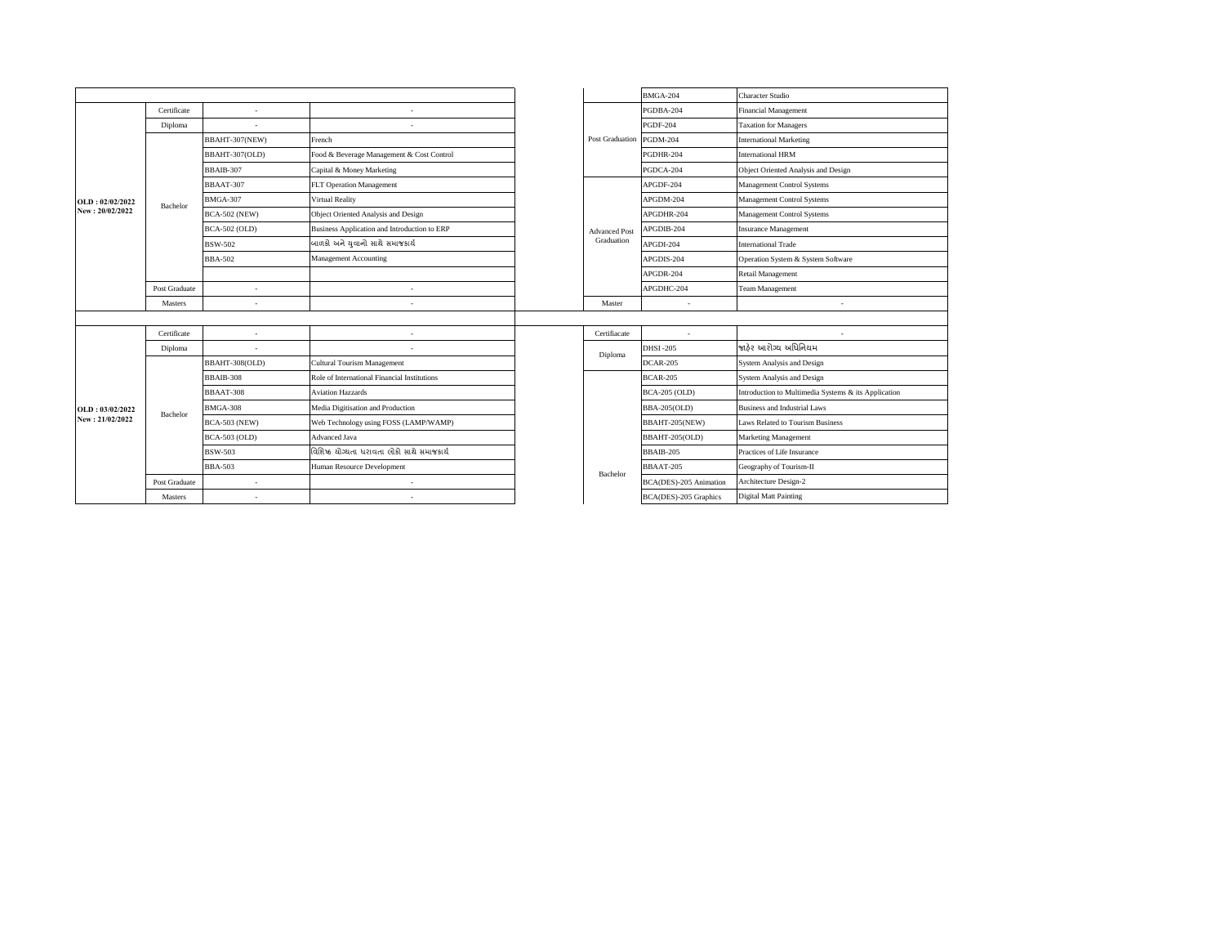|                 |               |                      |                                              |  |                          | <b>BMGA-204</b>          | Character Studio                                     |
|-----------------|---------------|----------------------|----------------------------------------------|--|--------------------------|--------------------------|------------------------------------------------------|
|                 | Certificate   | ×.                   |                                              |  |                          | PGDBA-204                | Financial Management                                 |
|                 | Diploma       |                      |                                              |  | Post Graduation PGDM-204 | <b>PGDF-204</b>          | <b>Taxation for Managers</b>                         |
|                 |               | BBAHT-307(NEW)       | French                                       |  |                          |                          | <b>International Marketing</b>                       |
|                 |               | BBAHT-307(OLD)       | Food & Beverage Management & Cost Control    |  |                          | PGDHR-204                | <b>International HRM</b>                             |
|                 |               | BBAIB-307            | Capital & Money Marketing                    |  |                          | PGDCA-204                | Object Oriented Analysis and Design                  |
|                 |               | BBAAT-307            | FLT Operation Management                     |  |                          | APGDF-204                | Management Control Systems                           |
| OLD: 02/02/2022 | Bachelor      | <b>BMGA-307</b>      | Virtual Reality                              |  |                          | APGDM-204                | Management Control Systems                           |
| New: 20/02/2022 |               | <b>BCA-502 (NEW)</b> | Object Oriented Analysis and Design          |  |                          | APGDHR-204               | Management Control Systems                           |
|                 |               | BCA-502 (OLD)        | Business Application and Introduction to ERP |  | <b>Advanced Post</b>     | APGDIB-204               | <b>Insurance Management</b>                          |
|                 |               | BSW-502              | બાળકો અને યુવાનો સાથે સમાજકાર્ય              |  | Graduation               | APGDI-204                | <b>International Trade</b>                           |
|                 |               | <b>BBA-502</b>       | <b>Management Accounting</b>                 |  |                          | APGDIS-204               | Operation System & System Software                   |
|                 |               |                      |                                              |  |                          | APGDR-204                | Retail Management                                    |
|                 | Post Graduate |                      |                                              |  |                          | APGDHC-204               | <b>Team Management</b>                               |
|                 | Masters       | ×.                   | $\sim$                                       |  | Master                   | $\sim$                   | ٠.                                                   |
|                 |               |                      |                                              |  |                          |                          |                                                      |
|                 | Certificate   |                      |                                              |  | Certifiacate             | $\overline{\phantom{a}}$ |                                                      |
|                 | Diploma       |                      |                                              |  | Diploma                  | <b>DHSI-205</b>          | જાઠેર આરોગ્ય અધિનિયમ                                 |
|                 |               | BBAHT-308(OLD)       | Cultural Tourism Management                  |  |                          | <b>DCAR-205</b>          | System Analysis and Design                           |
|                 |               | BBAIB-308            | Role of International Financial Institutions |  |                          | <b>BCAR-205</b>          | System Analysis and Design                           |
|                 |               | <b>BBAAT-308</b>     | <b>Aviation Hazzards</b>                     |  |                          | <b>BCA-205 (OLD)</b>     | Introduction to Multimedia Systems & its Application |
| OLD: 03/02/2022 | Bachelor      | <b>BMGA-308</b>      | Media Digitisation and Production            |  |                          | <b>BBA-205(OLD)</b>      | <b>Business and Industrial Laws</b>                  |
| New: 21/02/2022 |               | <b>BCA-503 (NEW)</b> | Web Technology using FOSS (LAMP/WAMP)        |  |                          | BBAHT-205(NEW)           | Laws Related to Tourism Business                     |
|                 |               | <b>BCA-503 (OLD)</b> | Advanced Java                                |  |                          | BBAHT-205(OLD)           | <b>Marketing Management</b>                          |
|                 |               | <b>BSW-503</b>       | વિશિષ્ઠ ચોગ્યતા ધરાવતા લોકો સાથે સમાજકાર્ય   |  |                          | BBAIB-205                | Practices of Life Insurance                          |
|                 |               | <b>BBA-503</b>       | Human Resource Development                   |  | Bachelor                 | <b>BBAAT-205</b>         | Geography of Tourism-II                              |
|                 | Post Graduate | ×                    | ÷                                            |  |                          | BCA(DES)-205 Animation   | Architecture Design-2                                |
|                 | Masters       | ٠                    | $\sim$                                       |  |                          | BCA(DES)-205 Graphics    | <b>Digital Matt Painting</b>                         |
|                 |               |                      |                                              |  |                          |                          |                                                      |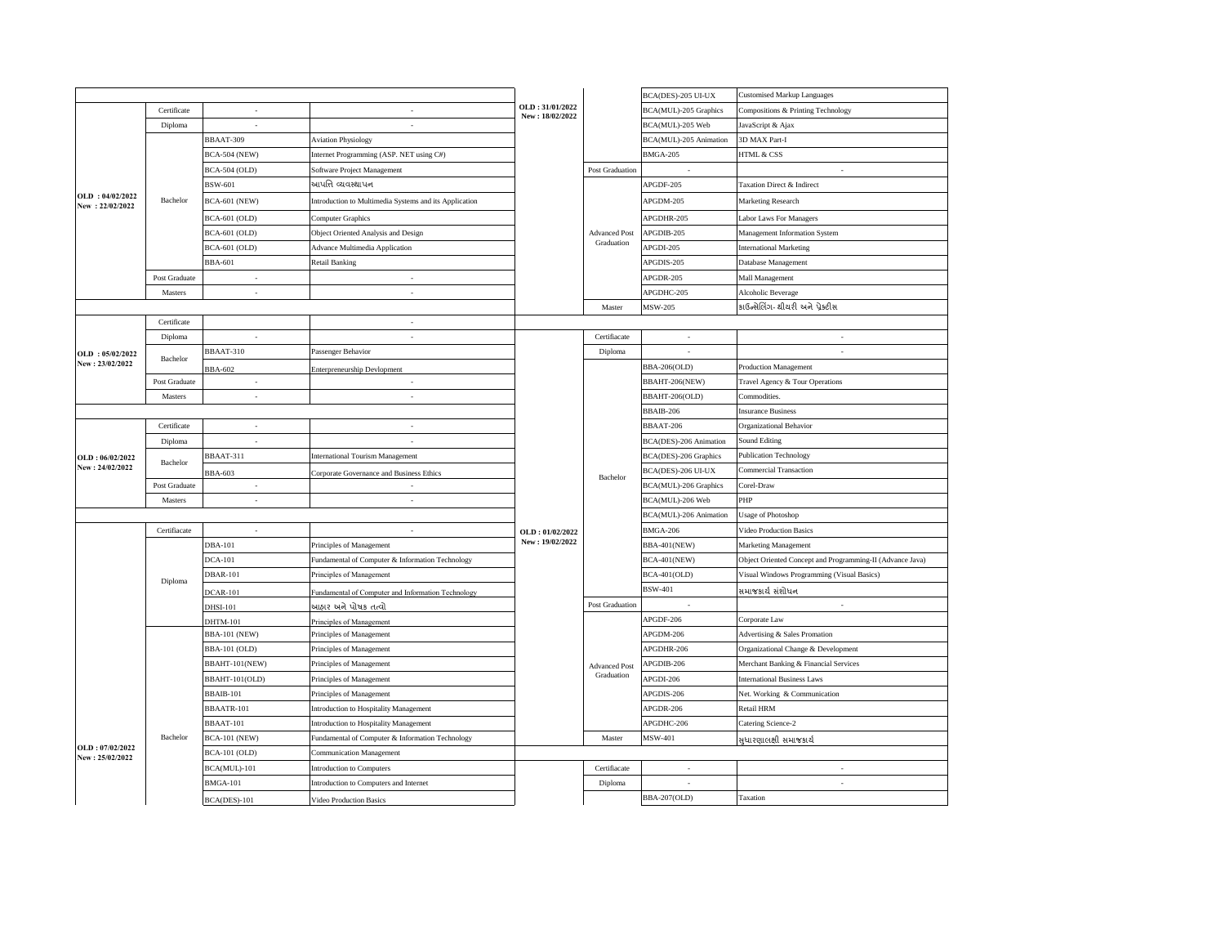|                                    |               |                      |                                                        |                                    |                      | BCA(DES)-205 UI-UX     | <b>Customised Markup Languages</b>                        |
|------------------------------------|---------------|----------------------|--------------------------------------------------------|------------------------------------|----------------------|------------------------|-----------------------------------------------------------|
|                                    | Certificate   | ×,                   | ×                                                      | OLD: 31/01/2022<br>New: 18/02/2022 |                      | BCA(MUL)-205 Graphics  | Compositions & Printing Technology                        |
|                                    | Diploma       | ÷.                   | $\sim$                                                 |                                    |                      | BCA(MUL)-205 Web       | JavaScript & Ajax                                         |
|                                    |               | BBAAT-309            | <b>Aviation Physiology</b>                             |                                    |                      | BCA(MUL)-205 Animation | 3D MAX Part-I                                             |
|                                    |               | <b>BCA-504 (NEW)</b> | Internet Programming (ASP. NET using C#)               |                                    |                      | <b>BMGA-205</b>        | HTML & CSS                                                |
|                                    |               | <b>BCA-504 (OLD)</b> | Software Project Management                            |                                    | Post Graduation      |                        |                                                           |
|                                    |               | BSW-601              | આપત્તિ વ્યવસ્થાપન                                      |                                    |                      | APGDF-205              | Taxation Direct & Indirect                                |
| OLD: 04/02/2022<br>New: 22/02/2022 | Bachelor      | <b>BCA-601 (NEW)</b> | Introduction to Multimedia Systems and its Application |                                    |                      | APGDM-205              | Marketing Research                                        |
|                                    |               | <b>BCA-601 (OLD)</b> | Computer Graphics                                      |                                    |                      | APGDHR-205             | <b>Labor Laws For Managers</b>                            |
|                                    |               | <b>BCA-601 (OLD)</b> | Object Oriented Analysis and Design                    |                                    | <b>Advanced Post</b> | APGDIB-205             | Management Information System                             |
|                                    |               | <b>BCA-601 (OLD)</b> | <b>Advance Multimedia Application</b>                  |                                    | Graduation           | APGDI-205              | <b>International Marketing</b>                            |
|                                    |               | <b>BBA-601</b>       | <b>Retail Banking</b>                                  |                                    |                      | APGDIS-205             | Database Management                                       |
|                                    | Post Graduate | $\sim$               | $\sim$                                                 |                                    |                      | APGDR-205              | Mall Management                                           |
|                                    | Masters       | $\epsilon$           | $\epsilon$                                             |                                    |                      | APGDHC-205             | Alcoholic Beverage                                        |
|                                    |               |                      |                                                        |                                    | Master               | <b>MSW-205</b>         | કાઉન્સેલિંગ- થીયરી અને પ્રેક્ટીસ                          |
|                                    | Certificate   |                      | $\overline{\phantom{a}}$                               |                                    |                      |                        |                                                           |
|                                    | Diploma       | ×                    | ×                                                      |                                    | Certifiacate         | ×,                     | ×                                                         |
| OLD: 05/02/2022                    |               | BBAAT-310            | Passenger Behavior                                     |                                    | Diploma              | ÷                      | $\sim$                                                    |
| New: 23/02/2022                    | Bachelor      | <b>BBA-602</b>       | Enterpreneurship Devlopment                            |                                    |                      | BBA-206(OLD)           | <b>Production Management</b>                              |
|                                    | Post Graduate | $\sim$               |                                                        |                                    |                      | BBAHT-206(NEW)         | Travel Agency & Tour Operations                           |
|                                    | Masters       | ×.                   | ×.                                                     |                                    |                      | BBAHT-206(OLD)         | Commodities                                               |
|                                    |               |                      |                                                        |                                    |                      | BBAIB-206              | <b>Insurance Business</b>                                 |
|                                    | Certificate   | ٠                    | $\sim$                                                 |                                    |                      | BBAAT-206              | Organizational Behavior                                   |
|                                    | Diploma       | ٠                    | $\sim$                                                 |                                    |                      | BCA(DES)-206 Animation | <b>Sound Editing</b>                                      |
| OLD: 06/02/2022                    |               | BBAAT-311            | <b>International Tourism Management</b>                |                                    |                      | BCA(DES)-206 Graphics  | <b>Publication Technology</b>                             |
| New: 24/02/2022                    | Bachelor      | BBA-603              | Corporate Governance and Business Ethics               |                                    |                      | BCA(DES)-206 UI-UX     | <b>Commercial Transaction</b>                             |
|                                    | Post Graduate | $\epsilon$           | ×.                                                     |                                    | Bachelor             | BCA(MUL)-206 Graphics  | Corel-Draw                                                |
|                                    | Masters       | ä,                   | $\overline{\phantom{a}}$                               |                                    |                      | BCA(MUL)-206 Web       | PHP                                                       |
|                                    |               |                      |                                                        |                                    |                      | BCA(MUL)-206 Animation | <b>Usage of Photoshop</b>                                 |
|                                    | Certifiacate  | ٠                    | $\sim$                                                 | OLD: 01/02/2022                    |                      | <b>BMGA-206</b>        | <b>Video Production Basics</b>                            |
|                                    |               | <b>DBA-101</b>       | Principles of Management                               | New: 19/02/2022                    |                      | <b>BBA-401(NEW)</b>    | Marketing Management                                      |
|                                    |               | <b>DCA-101</b>       | Fundamental of Computer & Information Technology       |                                    |                      | <b>BCA-401(NEW)</b>    | Object Oriented Concept and Programming-II (Advance Java) |
|                                    |               | <b>DBAR-101</b>      | Principles of Management                               |                                    |                      | <b>BCA-401(OLD)</b>    | Visual Windows Programming (Visual Basics)                |
|                                    | Diploma       | <b>DCAR-101</b>      | Fundamental of Computer and Information Technology     |                                    |                      | <b>BSW-401</b>         | સમાજકાર્ય સંશોધન                                          |
|                                    |               | <b>DHSI-101</b>      | આહાર અને પોષક તત્વો                                    |                                    | Post Graduation      | ٠                      | $\sim$                                                    |
|                                    |               | DHTM-101             | Principles of Management                               |                                    |                      | APGDF-206              | Corporate Law                                             |
|                                    |               | <b>BBA-101 (NEW)</b> | Principles of Management                               |                                    |                      | APGDM-206              | Advertising & Sales Promation                             |
|                                    |               | BBA-101 (OLD)        | Principles of Management                               |                                    |                      | APGDHR-206             | Organizational Change & Development                       |
|                                    |               | BBAHT-101(NEW)       | Principles of Management                               |                                    | <b>Advanced Post</b> | APGDIB-206             | Merchant Banking & Financial Services                     |
|                                    |               | BBAHT-101(OLD)       | Principles of Management                               |                                    | Graduation           | APGDI-206              | <b>International Business Laws</b>                        |
|                                    |               | BBAIB-101            | Principles of Management                               |                                    |                      | APGDIS-206             | Net. Working & Communication                              |
|                                    |               | BBAATR-101           | Introduction to Hospitality Management                 |                                    |                      | APGDR-206              | Retail HRM                                                |
|                                    |               | BBAAT-101            | Introduction to Hospitality Management                 |                                    |                      | APGDHC-206             | Catering Science-2                                        |
|                                    | Bachelor      | <b>BCA-101 (NEW)</b> | Fundamental of Computer & Information Technology       |                                    | Master               | MSW-401                | સુધારણાલક્ષી સમાજકાર્ય                                    |
| OLD: 07/02/2022<br>New: 25/02/2022 |               | <b>BCA-101 (OLD)</b> | <b>Communication Management</b>                        |                                    |                      |                        |                                                           |
|                                    |               | BCA(MUL)-101         | Introduction to Computers                              |                                    | Certifiacate         |                        |                                                           |
|                                    |               | <b>BMGA-101</b>      | Introduction to Computers and Internet                 |                                    | Diploma              | ٠                      | $\sim$                                                    |
|                                    |               | BCA(DES)-101         | Video Production Basics                                |                                    |                      | <b>BBA-207(OLD)</b>    | Taxation                                                  |
|                                    |               |                      |                                                        |                                    |                      |                        |                                                           |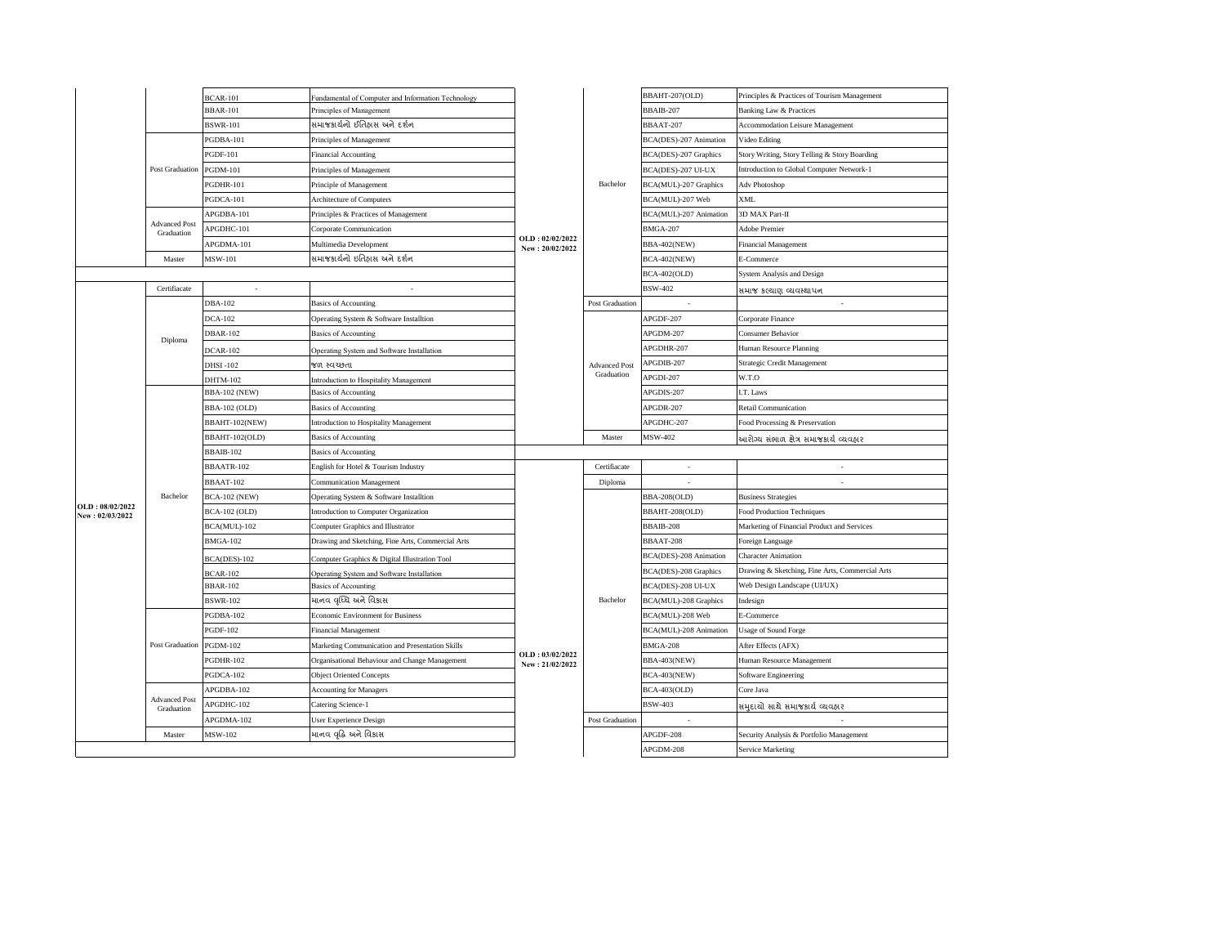|                                    |                                    | <b>BCAR-101</b>      | Fundamental of Computer and Information Technology |                                    |                      | BBAHT-207(OLD)         | Principles & Practices of Tourism Management    |
|------------------------------------|------------------------------------|----------------------|----------------------------------------------------|------------------------------------|----------------------|------------------------|-------------------------------------------------|
|                                    |                                    | <b>BBAR-101</b>      | Principles of Management                           |                                    |                      | BBAIB-207              | Banking Law & Practices                         |
|                                    |                                    | <b>BSWR-101</b>      | સમાજકાર્યનો ઈતિહ્વસ અને દર્શન                      |                                    |                      | BBAAT-207              | <b>Accommodation Leisure Management</b>         |
|                                    |                                    | PGDBA-101            | Principles of Management                           |                                    |                      | BCA(DES)-207 Animation | Video Editing                                   |
|                                    |                                    | <b>PGDF-101</b>      | Financial Accounting                               |                                    |                      | BCA(DES)-207 Graphics  | Story Writing, Story Telling & Story Boarding   |
|                                    | Post Graduation                    | <b>PGDM-101</b>      | Principles of Management                           |                                    |                      | BCA(DES)-207 UI-UX     | Introduction to Global Computer Network-1       |
|                                    |                                    | PGDHR-101            | Principle of Management                            |                                    | Bachelor             | BCA(MUL)-207 Graphics  | Adv Photoshop                                   |
|                                    |                                    | PGDCA-101            | Architecture of Computers                          |                                    |                      | BCA(MUL)-207 Web       | <b>XML</b>                                      |
|                                    |                                    | APGDBA-101           | Principles & Practices of Management               |                                    |                      | BCA(MUL)-207 Animation | 3D MAX Part-II                                  |
|                                    | <b>Advanced Post</b><br>Graduation | APGDHC-101           | Corporate Communication                            |                                    |                      | <b>BMGA-207</b>        | Adobe Premier                                   |
|                                    |                                    | APGDMA-101           | Multimedia Development                             | OLD: 02/02/2022<br>New: 20/02/2022 |                      | <b>BBA-402(NEW)</b>    | Financial Management                            |
|                                    | Master                             | MSW-101              | સમાજકાર્યનો ઇતિહાસ અને દર્શન                       |                                    |                      | <b>BCA-402(NEW)</b>    | E-Commerce                                      |
|                                    |                                    |                      |                                                    |                                    |                      | <b>BCA-402(OLD)</b>    | System Analysis and Design                      |
|                                    | Certifiacate                       | $\sim$               | ×.                                                 |                                    |                      | <b>BSW-402</b>         | સમાજ કલ્યાણ વ્યવસ્થાપન                          |
|                                    |                                    | <b>DBA-102</b>       | <b>Basics of Accounting</b>                        |                                    | Post Graduation      |                        | ٠                                               |
|                                    |                                    | <b>DCA-102</b>       | Operating System & Software Installtion            |                                    |                      | APGDF-207              | Corporate Finance                               |
|                                    |                                    | <b>DBAR-102</b>      | <b>Basics of Accounting</b>                        |                                    |                      | APGDM-207              | Consumer Behavior                               |
|                                    | Diploma                            | <b>DCAR-102</b>      | Operating System and Software Installation         |                                    |                      | APGDHR-207             | Human Resource Planning                         |
|                                    |                                    | DHSI-102             | જળ સ્વચ્છતા                                        |                                    | <b>Advanced Post</b> | APGDIB-207             | Strategic Credit Management                     |
|                                    |                                    | DHTM-102             | Introduction to Hospitality Management             |                                    | Graduation           | APGDI-207              | W.T.O                                           |
|                                    |                                    | <b>BBA-102 (NEW)</b> | <b>Basics of Accounting</b>                        |                                    |                      | APGDIS-207             | I.T. Laws                                       |
|                                    |                                    | BBA-102 (OLD)        | <b>Basics of Accounting</b>                        |                                    |                      | APGDR-207              | Retail Communication                            |
|                                    |                                    | BBAHT-102(NEW)       | Introduction to Hospitality Management             |                                    |                      | APGDHC-207             | Food Processing & Preservation                  |
|                                    |                                    | BBAHT-102(OLD)       | <b>Basics of Accounting</b>                        |                                    | Master               | MSW-402                | આરોગ્ય સંભાળ ક્ષેત્ર સમાજકાર્ય વ્યવહાર          |
|                                    |                                    | BBAIB-102            | <b>Basics of Accounting</b>                        |                                    |                      |                        |                                                 |
|                                    |                                    | BBAATR-102           | English for Hotel & Tourism Industry               |                                    | Certifiacate         | $\sim$                 | ٠                                               |
|                                    |                                    | BBAAT-102            | <b>Communication Management</b>                    |                                    | Diploma              |                        | ×.                                              |
|                                    | Bachelor                           | <b>BCA-102 (NEW)</b> | Operating System & Software Installtion            |                                    |                      | <b>BBA-208(OLD)</b>    | <b>Business Strategies</b>                      |
| OLD: 08/02/2022<br>New: 02/03/2022 |                                    | BCA-102 (OLD)        | Introduction to Computer Organization              |                                    |                      | BBAHT-208(OLD)         | Food Production Techniques                      |
|                                    |                                    | BCA(MUL)-102         | Computer Graphics and Illustrator                  |                                    |                      | BBAIB-208              | Marketing of Financial Product and Services     |
|                                    |                                    | <b>BMGA-102</b>      | Drawing and Sketching, Fine Arts, Commercial Arts  |                                    |                      | BBAAT-208              | Foreign Language                                |
|                                    |                                    | BCA(DES)-102         | Computer Graphics & Digital Illustration Tool      |                                    |                      | BCA(DES)-208 Animation | <b>Character Animation</b>                      |
|                                    |                                    | <b>BCAR-102</b>      | Operating System and Software Installation         |                                    |                      | BCA(DES)-208 Graphics  | Drawing & Sketching, Fine Arts, Commercial Arts |
|                                    |                                    | <b>BBAR-102</b>      | <b>Basics of Accounting</b>                        |                                    |                      | BCA(DES)-208 UI-UX     | Web Design Landscape (UI/UX)                    |
|                                    |                                    | <b>BSWR-102</b>      | માનવ વૃધ્ધિ અને વિકાસ                              |                                    | Bachelor             | BCA(MUL)-208 Graphics  | Indesign                                        |
|                                    |                                    | PGDBA-102            | Economic Environment for Business                  |                                    |                      | BCA(MUL)-208 Web       | E-Commerce                                      |
|                                    |                                    | <b>PGDF-102</b>      | <b>Financial Management</b>                        |                                    |                      | BCA(MUL)-208 Animation | Usage of Sound Forge                            |
|                                    | Post Graduation                    | <b>PGDM-102</b>      | Marketing Communication and Presentation Skills    |                                    |                      | <b>BMGA-208</b>        | After Effects (AFX)                             |
|                                    |                                    | PGDHR-102            | Organisational Behaviour and Change Management     | OLD: 03/02/2022<br>New: 21/02/2022 |                      | <b>BBA-403(NEW)</b>    | Human Resource Management                       |
|                                    |                                    | PGDCA-102            | <b>Object Oriented Concepts</b>                    |                                    |                      | <b>BCA-403(NEW)</b>    | Software Engineering                            |
|                                    |                                    | APGDBA-102           | <b>Accounting for Managers</b>                     |                                    |                      | <b>BCA-403(OLD)</b>    | Core Java                                       |
|                                    | <b>Advanced Post</b><br>Graduation | APGDHC-102           | Catering Science-1                                 |                                    |                      | <b>BSW-403</b>         | સમુદાયો સાથે સમાજકાર્ય વ્યવહાર                  |
|                                    |                                    | APGDMA-102           | <b>User Experience Design</b>                      |                                    | Post Graduation      |                        |                                                 |
|                                    | Master                             | <b>MSW-102</b>       | માનવ વૃદ્ધિ અને વિકાસ                              |                                    |                      | APGDF-208              | Security Analysis & Portfolio Management        |
|                                    |                                    |                      |                                                    |                                    |                      | APGDM-208              | Service Marketing                               |
|                                    |                                    |                      |                                                    |                                    |                      |                        |                                                 |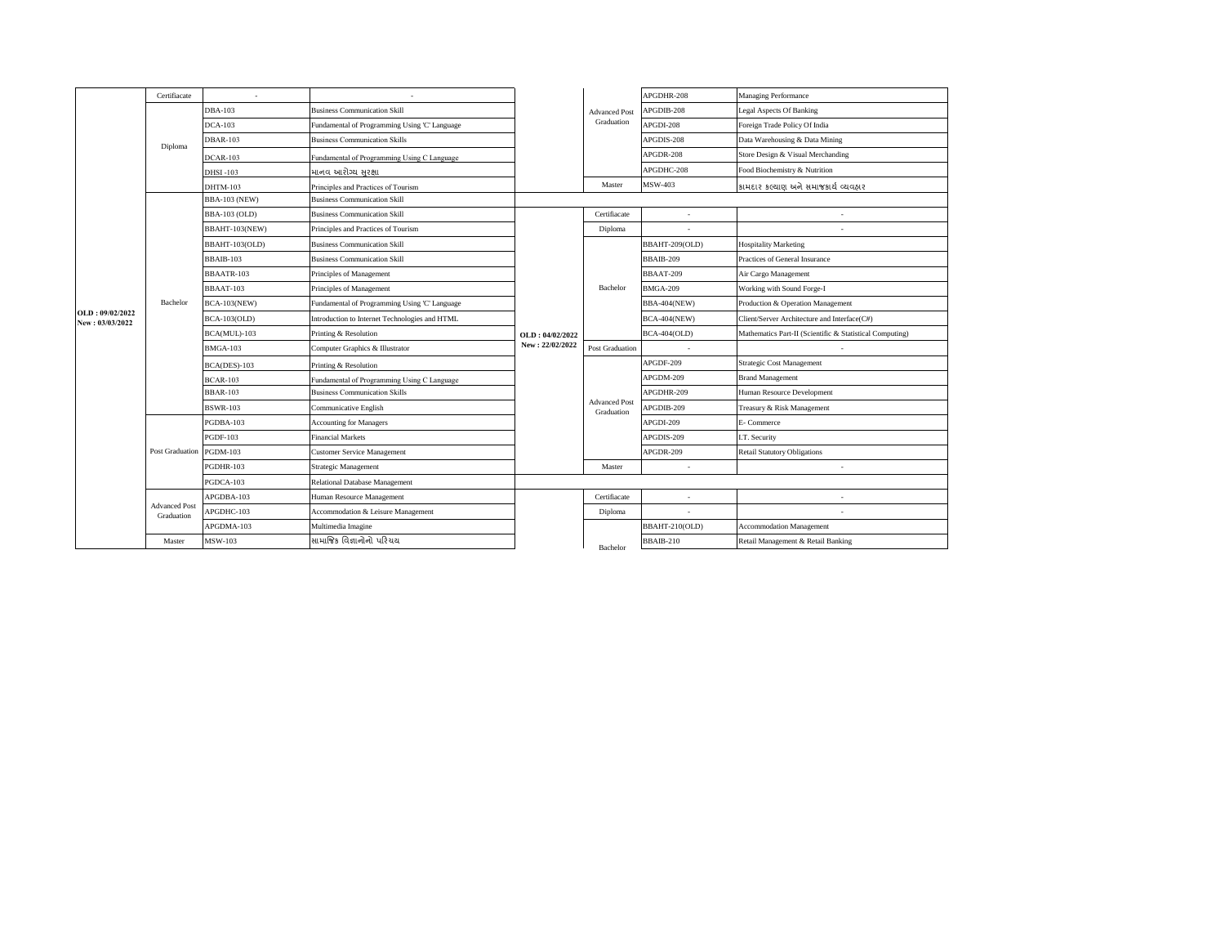|                                    | Certifiacate                       |                      |                                                |                                    |                                    | APGDHR-208          | Managing Performance                                     |
|------------------------------------|------------------------------------|----------------------|------------------------------------------------|------------------------------------|------------------------------------|---------------------|----------------------------------------------------------|
|                                    |                                    | <b>DBA-103</b>       | <b>Business Communication Skill</b>            |                                    | <b>Advanced Post</b>               | APGDIB-208          | <b>Legal Aspects Of Banking</b>                          |
|                                    |                                    | $DCA-103$            | Fundamental of Programming Using 'C' Language  |                                    | Graduation                         | APGDI-208           | Foreign Trade Policy Of India                            |
|                                    | Diploma                            | <b>DBAR-103</b>      | <b>Business Communication Skills</b>           |                                    |                                    | APGDIS-208          | Data Warehousing & Data Mining                           |
|                                    |                                    | $DCAR-103$           | Fundamental of Programming Using C Language    |                                    |                                    | APGDR-208           | Store Design & Visual Merchanding                        |
|                                    |                                    | <b>DHSI-103</b>      | માનવ આરોગ્ય સુરક્ષા                            |                                    |                                    | APGDHC-208          | Food Biochemistry & Nutrition                            |
|                                    |                                    | <b>DHTM-103</b>      | Principles and Practices of Tourism            |                                    | Master                             | MSW-403             | કામદાર કલ્યાણ અને સમાજકાર્ય વ્યવહાર                      |
|                                    |                                    | <b>BBA-103 (NEW)</b> | <b>Business Communication Skill</b>            |                                    |                                    |                     |                                                          |
|                                    |                                    | <b>BBA-103 (OLD)</b> | <b>Business Communication Skill</b>            |                                    | Certifiacate                       | ÷.                  |                                                          |
|                                    |                                    | BBAHT-103(NEW)       | Principles and Practices of Tourism            |                                    | Diploma                            |                     |                                                          |
|                                    |                                    | BBAHT-103(OLD)       | <b>Business Communication Skill</b>            |                                    |                                    | BBAHT-209(OLD)      | <b>Hospitality Marketing</b>                             |
|                                    |                                    | BBAIB-103            | <b>Business Communication Skill</b>            |                                    |                                    | BBAIB-209           | Practices of General Insurance                           |
|                                    |                                    | BBAATR-103           | Principles of Management                       |                                    |                                    | BBAAT-209           | Air Cargo Management                                     |
|                                    |                                    | BBAAT-103            | Principles of Management                       |                                    | Bachelor                           | <b>BMGA-209</b>     | Working with Sound Forge-I                               |
|                                    | Bachelor                           | <b>BCA-103(NEW)</b>  | Fundamental of Programming Using 'C' Language  | OLD: 04/02/2022<br>New: 22/02/2022 |                                    | <b>BBA-404(NEW)</b> | Production & Operation Management                        |
| OLD: 09/02/2022<br>New: 03/03/2022 |                                    | <b>BCA-103(OLD)</b>  | Introduction to Internet Technologies and HTML |                                    |                                    | <b>BCA-404(NEW)</b> | Client/Server Architecture and Interface(C#)             |
|                                    |                                    | BCA(MUL)-103         | Printing & Resolution                          |                                    |                                    | <b>BCA-404(OLD)</b> | Mathematics Part-II (Scientific & Statistical Computing) |
|                                    |                                    | <b>BMGA-103</b>      | Computer Graphics & Illustrator                |                                    | <b>Post Graduation</b>             |                     |                                                          |
|                                    |                                    | $BCA(DES)-103$       | Printing & Resolution                          |                                    |                                    | APGDF-209           | Strategic Cost Management                                |
|                                    |                                    | <b>BCAR-103</b>      | Fundamental of Programming Using C Language    |                                    |                                    | APGDM-209           | <b>Brand Management</b>                                  |
|                                    |                                    | <b>BBAR-103</b>      | <b>Business Communication Skills</b>           |                                    |                                    | APGDHR-209          | Human Resource Development                               |
|                                    |                                    | <b>BSWR-103</b>      | Communicative English                          |                                    | <b>Advanced Post</b><br>Graduation | APGDIB-209          | Treasury & Risk Management                               |
|                                    |                                    | PGDBA-103            | <b>Accounting for Managers</b>                 |                                    |                                    | APGDI-209           | E- Commerce                                              |
|                                    |                                    | <b>PGDF-103</b>      | <b>Financial Markets</b>                       |                                    |                                    | APGDIS-209          | I.T. Security                                            |
|                                    | Post Graduation                    | <b>PGDM-103</b>      | <b>Customer Service Management</b>             |                                    |                                    | APGDR-209           | <b>Retail Statutory Obligations</b>                      |
|                                    |                                    | PGDHR-103            | Strategic Management                           |                                    | Master                             |                     | ٠                                                        |
|                                    |                                    | PGDCA-103            | Relational Database Management                 |                                    |                                    |                     |                                                          |
|                                    |                                    | APGDBA-103           | Human Resource Management                      |                                    | Certifiacate                       |                     |                                                          |
|                                    | <b>Advanced Post</b><br>Graduation | APGDHC-103           | Accommodation & Leisure Management             |                                    | Diploma                            |                     | ٠                                                        |
|                                    |                                    | APGDMA-103           | Multimedia Imagine                             |                                    |                                    | BBAHT-210(OLD)      | <b>Accommodation Management</b>                          |
|                                    | Master                             | <b>MSW-103</b>       | સામાજિક વિજ્ઞાનોનો પરિચય                       |                                    | <b>Bachelor</b>                    | BBAIB-210           | Retail Management & Retail Banking                       |
|                                    |                                    |                      |                                                |                                    |                                    |                     |                                                          |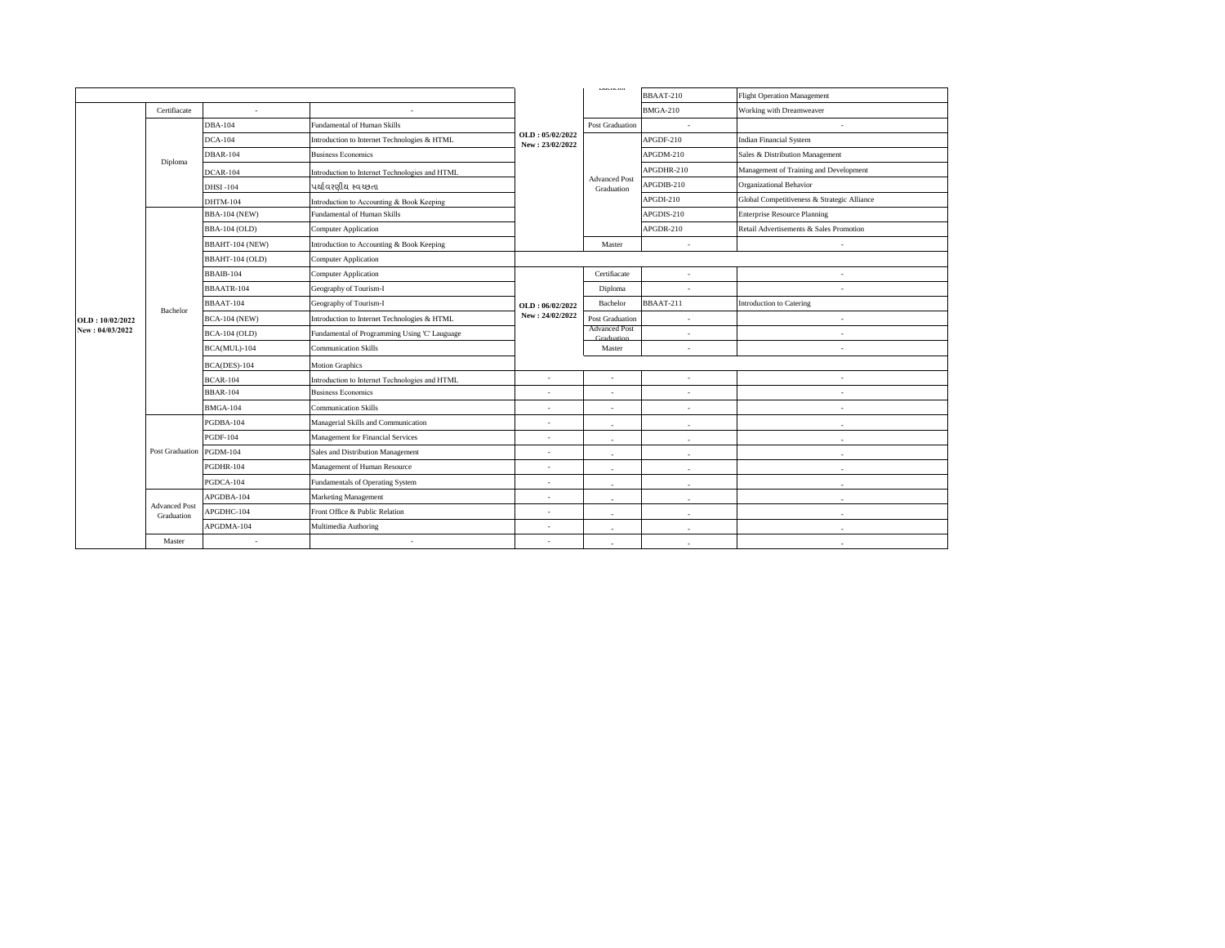|                 |                                    |                      |                                                |                                    | Davirons                           | BBAAT-210       | <b>Flight Operation Management</b>          |
|-----------------|------------------------------------|----------------------|------------------------------------------------|------------------------------------|------------------------------------|-----------------|---------------------------------------------|
|                 | Certifiacate                       |                      |                                                |                                    |                                    | <b>BMGA-210</b> | Working with Dreamweaver                    |
|                 |                                    | <b>DBA-104</b>       | Fundamental of Human Skills                    | OLD: 05/02/2022<br>New: 23/02/2022 | <b>Post Graduation</b>             | ÷.              |                                             |
|                 |                                    | <b>DCA-104</b>       | Introduction to Internet Technologies & HTML   |                                    |                                    | APGDF-210       | <b>Indian Financial System</b>              |
|                 | Diploma                            | <b>DBAR-104</b>      | <b>Business Economics</b>                      |                                    |                                    | APGDM-210       | Sales & Distribution Management             |
|                 |                                    | DCAR-104             | Introduction to Internet Technologies and HTML |                                    |                                    | APGDHR-210      | Management of Training and Development      |
|                 |                                    | <b>DHSI-104</b>      | પર્યાવરણીય સ્વચ્છતા                            |                                    | <b>Advanced Post</b><br>Graduation | APGDIB-210      | Organizational Behavior                     |
|                 |                                    | <b>DHTM-104</b>      | Introduction to Accounting & Book Keeping      |                                    |                                    | APGDI-210       | Global Competitiveness & Strategic Alliance |
|                 |                                    | <b>BBA-104 (NEW)</b> | Fundamental of Human Skills                    |                                    |                                    | APGDIS-210      | <b>Enterprise Resource Planning</b>         |
|                 |                                    | <b>BBA-104 (OLD)</b> | Computer Application                           |                                    |                                    | APGDR-210       | Retail Advertisements & Sales Promotion     |
|                 |                                    | BBAHT-104 (NEW)      | Introduction to Accounting & Book Keeping      |                                    | Master                             | ×.              |                                             |
|                 |                                    | BBAHT-104 (OLD)      | Computer Application                           |                                    |                                    |                 |                                             |
|                 |                                    | BBAIB-104            | <b>Computer Application</b>                    |                                    | Certifiacate                       | ٠               |                                             |
|                 | Bachelor                           | BBAATR-104           | Geography of Tourism-I                         |                                    | Diploma                            |                 |                                             |
|                 |                                    | BBAAT-104            | Geography of Tourism-I                         | OLD: 06/02/2022                    | Bachelor                           | BBAAT-211       | Introduction to Catering                    |
| OLD: 10/02/2022 |                                    | <b>BCA-104 (NEW)</b> | Introduction to Internet Technologies & HTML   | New: 24/02/2022                    | <b>Post Graduation</b>             | ÷.              | $\sim$                                      |
| New: 04/03/2022 |                                    | <b>BCA-104 (OLD)</b> | Fundamental of Programming Using 'C' Lauguage  |                                    | <b>Advanced Post</b><br>Graduation | ٠               | $\sim$                                      |
|                 |                                    | BCA(MUL)-104         | <b>Communication Skills</b>                    |                                    | Master                             | ×               | $\sim$                                      |
|                 |                                    | BCA(DES)-104         | <b>Motion Graphics</b>                         |                                    |                                    |                 |                                             |
|                 |                                    | <b>BCAR-104</b>      | Introduction to Internet Technologies and HTML | $\overline{\phantom{a}}$           | $\sim$                             | ٠               | $\sim$                                      |
|                 |                                    | <b>BBAR-104</b>      | <b>Business Economics</b>                      | $\overline{\phantom{a}}$           | $\sim$                             | ×               | $\sim$                                      |
|                 |                                    | <b>BMGA-104</b>      | <b>Communication Skills</b>                    | ä,                                 |                                    | ×               | $\sim$                                      |
|                 |                                    | PGDBA-104            | Managerial Skills and Communication            | ä,                                 | $\sim$                             | ×.              |                                             |
|                 |                                    | <b>PGDF-104</b>      | Management for Financial Services              | $\overline{a}$                     | $\sim$                             | ×.              |                                             |
|                 | Post Graduation                    | <b>PGDM-104</b>      | Sales and Distribution Management              | ٠                                  | $\sim$                             | ×               | . п.                                        |
|                 |                                    | PGDHR-104            | Management of Human Resource                   | $\overline{\phantom{a}}$           |                                    | ×.              |                                             |
|                 |                                    | PGDCA-104            | Fundamentals of Operating System               | ٠                                  | $\sim$                             | ×.              |                                             |
|                 |                                    | APGDBA-104           | Marketing Management                           | $\overline{a}$                     | $\sim$                             | ×               | ÷                                           |
|                 | <b>Advanced Post</b><br>Graduation | APGDHC-104           | Front Office & Public Relation                 | ٠                                  | $\sim$                             | ×.              | $\sim$                                      |
|                 |                                    | APGDMA-104           | Multimedia Authoring                           | ٠                                  | $\sim$                             | ×.              | . п.                                        |
|                 | Master                             |                      | ٠                                              | ×                                  |                                    |                 |                                             |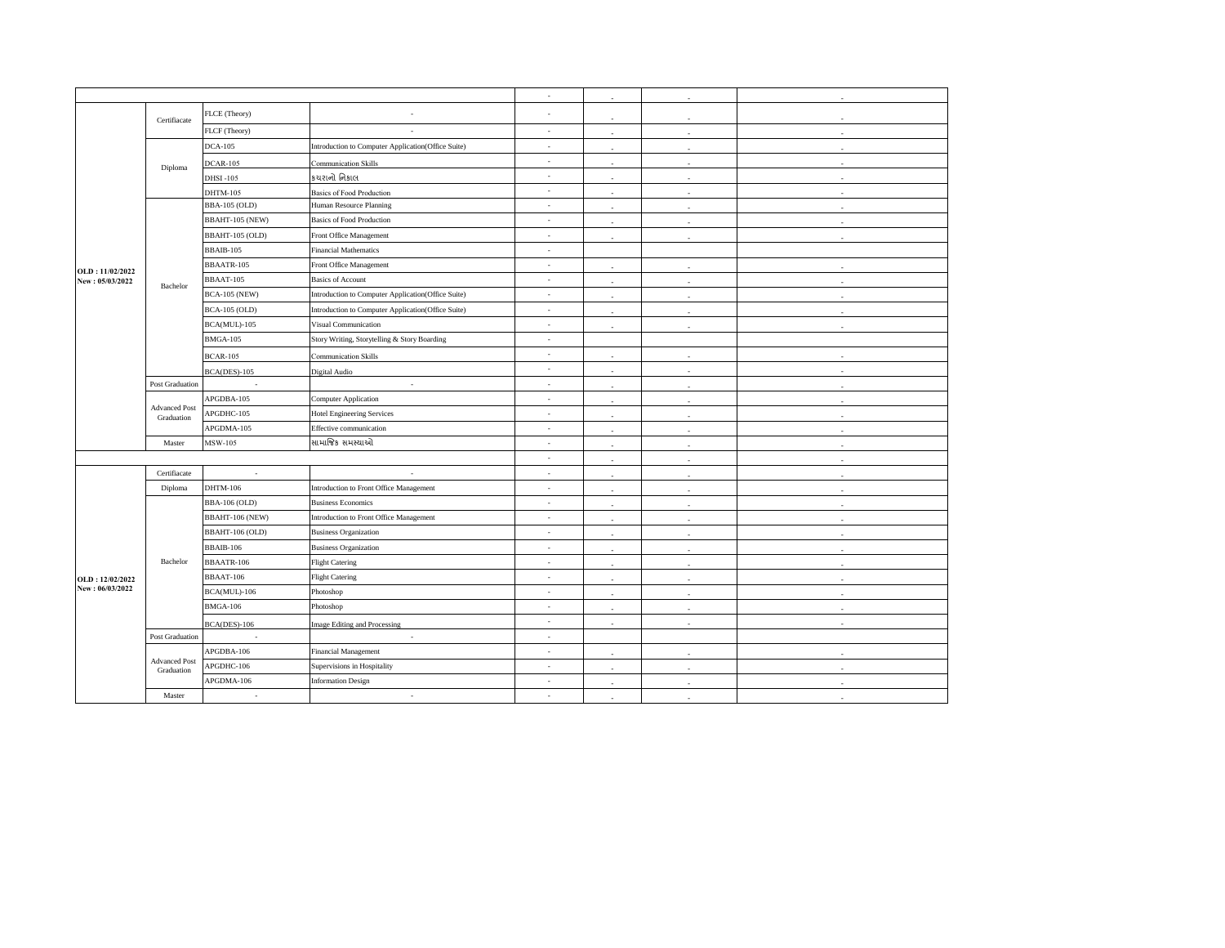|                 |                                    |                          |                                                    | ×.                       | $\sim$       |                          | ×  |
|-----------------|------------------------------------|--------------------------|----------------------------------------------------|--------------------------|--------------|--------------------------|----|
|                 | Certifiacate                       | FLCE (Theory)            |                                                    |                          | $\sim$       |                          | ×  |
|                 |                                    | FLCF (Theory)            | $\sim$                                             | $\sim$                   |              |                          | ×  |
|                 |                                    | <b>DCA-105</b>           | Introduction to Computer Application(Office Suite) | $\sim$                   |              |                          |    |
|                 | Diploma                            | <b>DCAR-105</b>          | <b>Communication Skills</b>                        | $\overline{\phantom{a}}$ |              |                          |    |
|                 |                                    | <b>DHSI-105</b>          | કચરાનો નિકાલ                                       | ×,                       |              |                          |    |
|                 |                                    | DHTM-105                 | <b>Basics of Food Production</b>                   | ×.                       |              |                          |    |
|                 |                                    | <b>BBA-105 (OLD)</b>     | Human Resource Planning                            | $\sim$                   |              |                          |    |
|                 |                                    | BBAHT-105 (NEW)          | <b>Basics of Food Production</b>                   | $\overline{\phantom{a}}$ |              |                          |    |
|                 |                                    | BBAHT-105 (OLD)          | Front Office Management                            | $\overline{\phantom{a}}$ | ٠            | $\overline{\phantom{a}}$ | ٠  |
|                 |                                    | BBAIB-105                | <b>Financial Mathematics</b>                       | ä,                       |              |                          |    |
| OLD: 11/02/2022 |                                    | BBAATR-105               | Front Office Management                            | $\overline{\phantom{a}}$ | $\epsilon$   |                          | ×, |
| New: 05/03/2022 | Bachelor                           | BBAAT-105                | <b>Basics of Account</b>                           | ×                        |              | ×.                       | i. |
|                 |                                    | <b>BCA-105 (NEW)</b>     | Introduction to Computer Application(Office Suite) | $\sim$                   |              |                          |    |
|                 |                                    | <b>BCA-105 (OLD)</b>     | Introduction to Computer Application(Office Suite) | $\overline{\phantom{a}}$ |              |                          |    |
|                 |                                    | BCA(MUL)-105             | Visual Communication                               | $\epsilon$               |              |                          |    |
|                 |                                    | <b>BMGA-105</b>          | Story Writing, Storytelling & Story Boarding       | $\overline{\phantom{a}}$ |              |                          |    |
|                 |                                    | <b>BCAR-105</b>          | Communication Skills                               | ×                        | $\sim$       | ٠                        | ٠  |
|                 |                                    | $BCA(DES)-105$           | Digital Audio                                      | ×.                       |              |                          |    |
|                 | Post Graduation                    | $\overline{\phantom{a}}$ | $\sim$                                             | $\sim$                   | $\sim$       | $\overline{\phantom{a}}$ | ٠  |
|                 | <b>Advanced Post</b><br>Graduation | APGDBA-105               | Computer Application                               | $\overline{\phantom{a}}$ |              |                          |    |
|                 |                                    | APGDHC-105               | <b>Hotel Engineering Services</b>                  | $\overline{\phantom{a}}$ |              | ä,                       | ä, |
|                 |                                    | APGDMA-105               | Effective communication                            | $\overline{\phantom{a}}$ |              |                          | ×  |
|                 | Master                             | MSW-105                  | સામાજિક સમસ્યાઓ                                    | $\sim$                   |              |                          |    |
|                 |                                    |                          |                                                    | $\epsilon$               | $\mathbf{r}$ | ٠                        |    |
|                 | Certifiacate                       | $\sim$                   | i.                                                 | ×.                       |              |                          |    |
|                 | Diploma                            | DHTM-106                 | Introduction to Front Office Management            | $\epsilon$               | $\sim$       | ä,                       | ٠  |
|                 |                                    | <b>BBA-106 (OLD)</b>     | <b>Business Economics</b>                          | $\overline{\phantom{a}}$ |              |                          |    |
|                 |                                    | BBAHT-106 (NEW)          | Introduction to Front Office Management            | $\sim$                   | ×.           | ÷.                       | ÷. |
|                 |                                    | BBAHT-106 (OLD)          | <b>Business Organization</b>                       | $\epsilon$               | $\sim$       | ÷.                       | ×. |
|                 |                                    | BBAIB-106                | <b>Business Organization</b>                       | $\sim$                   |              |                          |    |
|                 | Bachelor                           | BBAATR-106               | <b>Flight Catering</b>                             | $\sim$                   | - 2          | i.                       | ×  |
| OLD: 12/02/2022 |                                    | BBAAT-106                | <b>Flight Catering</b>                             | $\overline{\phantom{a}}$ |              |                          |    |
| New: 06/03/2022 |                                    | BCA(MUL)-106             | Photoshop                                          | $\sim$                   |              |                          |    |
|                 |                                    | <b>BMGA-106</b>          | Photoshop                                          | $\epsilon$               | ٠            | ٠                        |    |
|                 |                                    | $BCA(DES)-106$           | <b>Image Editing and Processing</b>                | $\sim$                   |              |                          |    |
|                 | Post Graduation                    | ÷.                       | $\sim$                                             | ×.                       |              |                          |    |
|                 |                                    | APGDBA-106               | Financial Management                               | $\overline{\phantom{a}}$ |              |                          |    |
|                 | <b>Advanced Post</b><br>Graduation | APGDHC-106               | Supervisions in Hospitality                        | $\overline{\phantom{a}}$ |              |                          |    |
|                 |                                    | APGDMA-106               | <b>Information Design</b>                          | ×,                       | $\sim$       | ×.                       | ×  |
|                 | Master                             | $\sim$                   | $\sim$                                             | $\sim$                   |              |                          |    |